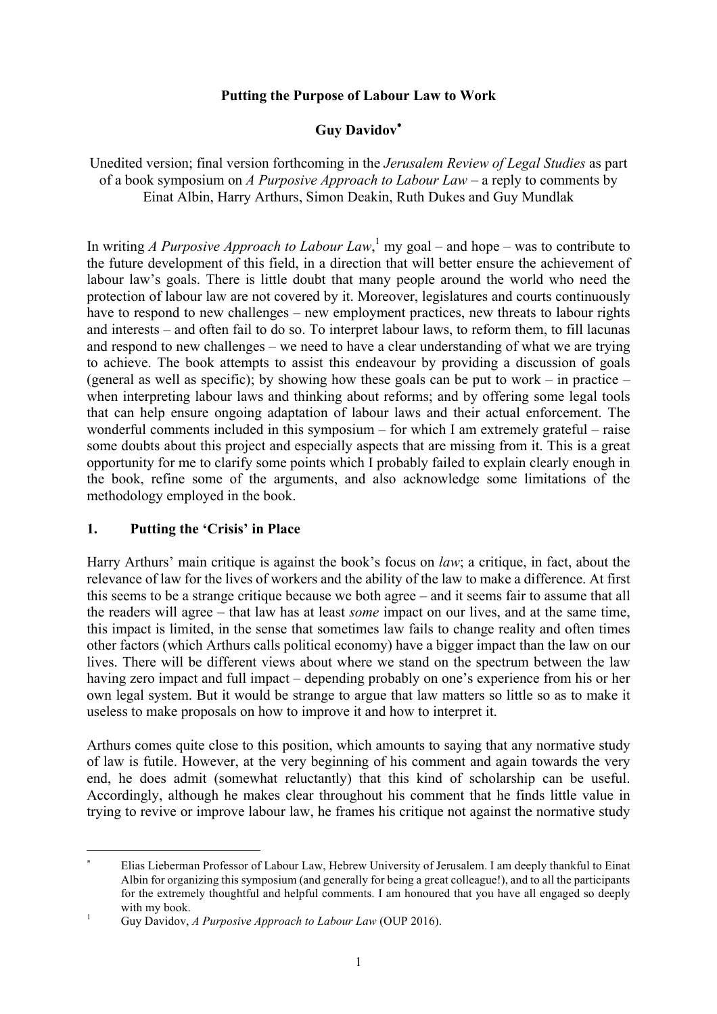### **Putting the Purpose of Labour Law to Work**

### **Guy Davidov**\*

Unedited version; final version forthcoming in the *Jerusalem Review of Legal Studies* as part of a book symposium on *A Purposive Approach to Labour Law* – a reply to comments by Einat Albin, Harry Arthurs, Simon Deakin, Ruth Dukes and Guy Mundlak

In writing *A Purposive Approach to Labour Law*, <sup>1</sup> my goal – and hope – was to contribute to the future development of this field, in a direction that will better ensure the achievement of labour law's goals. There is little doubt that many people around the world who need the protection of labour law are not covered by it. Moreover, legislatures and courts continuously have to respond to new challenges – new employment practices, new threats to labour rights and interests – and often fail to do so. To interpret labour laws, to reform them, to fill lacunas and respond to new challenges – we need to have a clear understanding of what we are trying to achieve. The book attempts to assist this endeavour by providing a discussion of goals (general as well as specific); by showing how these goals can be put to work – in practice – when interpreting labour laws and thinking about reforms; and by offering some legal tools that can help ensure ongoing adaptation of labour laws and their actual enforcement. The wonderful comments included in this symposium – for which I am extremely grateful – raise some doubts about this project and especially aspects that are missing from it. This is a great opportunity for me to clarify some points which I probably failed to explain clearly enough in the book, refine some of the arguments, and also acknowledge some limitations of the methodology employed in the book.

### **1. Putting the 'Crisis' in Place**

Harry Arthurs' main critique is against the book's focus on *law*; a critique, in fact, about the relevance of law for the lives of workers and the ability of the law to make a difference. At first this seems to be a strange critique because we both agree – and it seems fair to assume that all the readers will agree – that law has at least *some* impact on our lives, and at the same time, this impact is limited, in the sense that sometimes law fails to change reality and often times other factors (which Arthurs calls political economy) have a bigger impact than the law on our lives. There will be different views about where we stand on the spectrum between the law having zero impact and full impact – depending probably on one's experience from his or her own legal system. But it would be strange to argue that law matters so little so as to make it useless to make proposals on how to improve it and how to interpret it.

Arthurs comes quite close to this position, which amounts to saying that any normative study of law is futile. However, at the very beginning of his comment and again towards the very end, he does admit (somewhat reluctantly) that this kind of scholarship can be useful. Accordingly, although he makes clear throughout his comment that he finds little value in trying to revive or improve labour law, he frames his critique not against the normative study

 \* Elias Lieberman Professor of Labour Law, Hebrew University of Jerusalem. I am deeply thankful to Einat Albin for organizing this symposium (and generally for being a great colleague!), and to all the participants for the extremely thoughtful and helpful comments. I am honoured that you have all engaged so deeply

with my book.<br><sup>1</sup> Guy Davidov, *A Purposive Approach to Labour Law* (OUP 2016).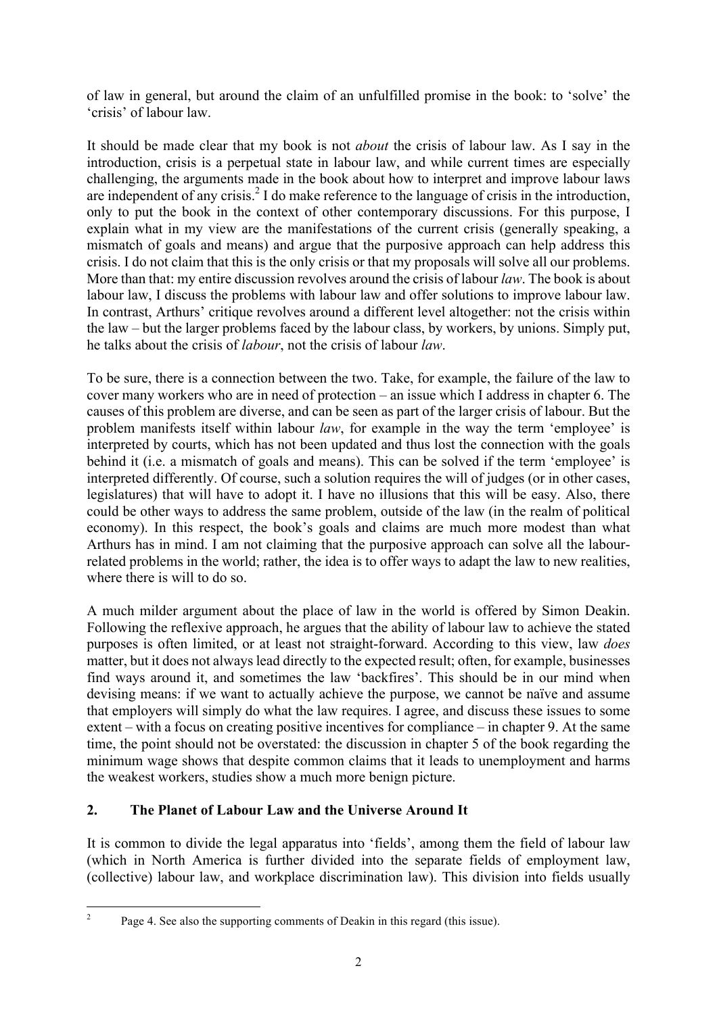of law in general, but around the claim of an unfulfilled promise in the book: to 'solve' the 'crisis' of labour law.

It should be made clear that my book is not *about* the crisis of labour law. As I say in the introduction, crisis is a perpetual state in labour law, and while current times are especially challenging, the arguments made in the book about how to interpret and improve labour laws are independent of any crisis.<sup>2</sup> I do make reference to the language of crisis in the introduction, only to put the book in the context of other contemporary discussions. For this purpose, I explain what in my view are the manifestations of the current crisis (generally speaking, a mismatch of goals and means) and argue that the purposive approach can help address this crisis. I do not claim that this is the only crisis or that my proposals will solve all our problems. More than that: my entire discussion revolves around the crisis of labour *law*. The book is about labour law, I discuss the problems with labour law and offer solutions to improve labour law. In contrast, Arthurs' critique revolves around a different level altogether: not the crisis within the law – but the larger problems faced by the labour class, by workers, by unions. Simply put, he talks about the crisis of *labour*, not the crisis of labour *law*.

To be sure, there is a connection between the two. Take, for example, the failure of the law to cover many workers who are in need of protection – an issue which I address in chapter 6. The causes of this problem are diverse, and can be seen as part of the larger crisis of labour. But the problem manifests itself within labour *law*, for example in the way the term 'employee' is interpreted by courts, which has not been updated and thus lost the connection with the goals behind it (i.e. a mismatch of goals and means). This can be solved if the term 'employee' is interpreted differently. Of course, such a solution requires the will of judges (or in other cases, legislatures) that will have to adopt it. I have no illusions that this will be easy. Also, there could be other ways to address the same problem, outside of the law (in the realm of political economy). In this respect, the book's goals and claims are much more modest than what Arthurs has in mind. I am not claiming that the purposive approach can solve all the labourrelated problems in the world; rather, the idea is to offer ways to adapt the law to new realities, where there is will to do so.

A much milder argument about the place of law in the world is offered by Simon Deakin. Following the reflexive approach, he argues that the ability of labour law to achieve the stated purposes is often limited, or at least not straight-forward. According to this view, law *does* matter, but it does not always lead directly to the expected result; often, for example, businesses find ways around it, and sometimes the law 'backfires'. This should be in our mind when devising means: if we want to actually achieve the purpose, we cannot be naïve and assume that employers will simply do what the law requires. I agree, and discuss these issues to some extent – with a focus on creating positive incentives for compliance – in chapter 9. At the same time, the point should not be overstated: the discussion in chapter 5 of the book regarding the minimum wage shows that despite common claims that it leads to unemployment and harms the weakest workers, studies show a much more benign picture.

# **2. The Planet of Labour Law and the Universe Around It**

It is common to divide the legal apparatus into 'fields', among them the field of labour law (which in North America is further divided into the separate fields of employment law, (collective) labour law, and workplace discrimination law). This division into fields usually

<sup>&</sup>lt;sup>2</sup> Page 4. See also the supporting comments of Deakin in this regard (this issue).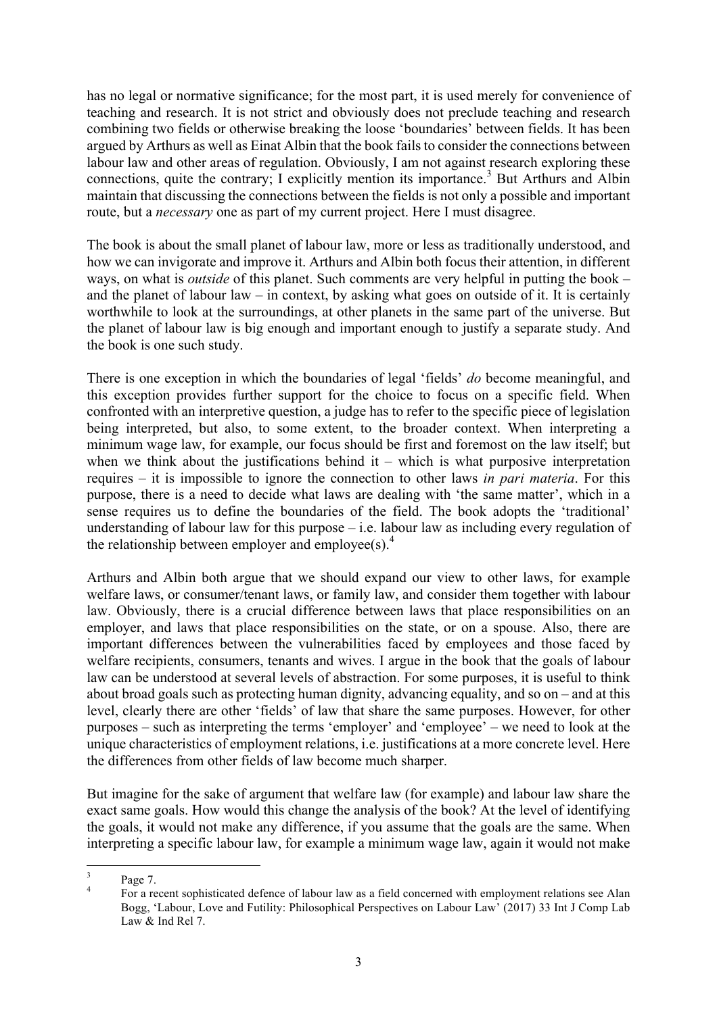has no legal or normative significance; for the most part, it is used merely for convenience of teaching and research. It is not strict and obviously does not preclude teaching and research combining two fields or otherwise breaking the loose 'boundaries' between fields. It has been argued by Arthurs as well as Einat Albin that the book fails to consider the connections between labour law and other areas of regulation. Obviously, I am not against research exploring these connections, quite the contrary; I explicitly mention its importance.<sup>3</sup> But Arthurs and Albin maintain that discussing the connections between the fields is not only a possible and important route, but a *necessary* one as part of my current project. Here I must disagree.

The book is about the small planet of labour law, more or less as traditionally understood, and how we can invigorate and improve it. Arthurs and Albin both focus their attention, in different ways, on what is *outside* of this planet. Such comments are very helpful in putting the book – and the planet of labour law – in context, by asking what goes on outside of it. It is certainly worthwhile to look at the surroundings, at other planets in the same part of the universe. But the planet of labour law is big enough and important enough to justify a separate study. And the book is one such study.

There is one exception in which the boundaries of legal 'fields' *do* become meaningful, and this exception provides further support for the choice to focus on a specific field. When confronted with an interpretive question, a judge has to refer to the specific piece of legislation being interpreted, but also, to some extent, to the broader context. When interpreting a minimum wage law, for example, our focus should be first and foremost on the law itself; but when we think about the justifications behind it – which is what purposive interpretation requires – it is impossible to ignore the connection to other laws *in pari materia*. For this purpose, there is a need to decide what laws are dealing with 'the same matter', which in a sense requires us to define the boundaries of the field. The book adopts the 'traditional' understanding of labour law for this purpose  $-$  i.e. labour law as including every regulation of the relationship between employer and employee(s).<sup>4</sup>

Arthurs and Albin both argue that we should expand our view to other laws, for example welfare laws, or consumer/tenant laws, or family law, and consider them together with labour law. Obviously, there is a crucial difference between laws that place responsibilities on an employer, and laws that place responsibilities on the state, or on a spouse. Also, there are important differences between the vulnerabilities faced by employees and those faced by welfare recipients, consumers, tenants and wives. I argue in the book that the goals of labour law can be understood at several levels of abstraction. For some purposes, it is useful to think about broad goals such as protecting human dignity, advancing equality, and so on – and at this level, clearly there are other 'fields' of law that share the same purposes. However, for other purposes – such as interpreting the terms 'employer' and 'employee' – we need to look at the unique characteristics of employment relations, i.e. justifications at a more concrete level. Here the differences from other fields of law become much sharper.

But imagine for the sake of argument that welfare law (for example) and labour law share the exact same goals. How would this change the analysis of the book? At the level of identifying the goals, it would not make any difference, if you assume that the goals are the same. When interpreting a specific labour law, for example a minimum wage law, again it would not make

<sup>&</sup>lt;sup>3</sup> Page 7.  $\frac{1}{4}$  For a recent sophisticated defence of labour law as a field concerned with employment relations see Alan Bogg, 'Labour, Love and Futility: Philosophical Perspectives on Labour Law' (2017) 33 Int J Comp Lab Law  $\&$  Ind Rel 7.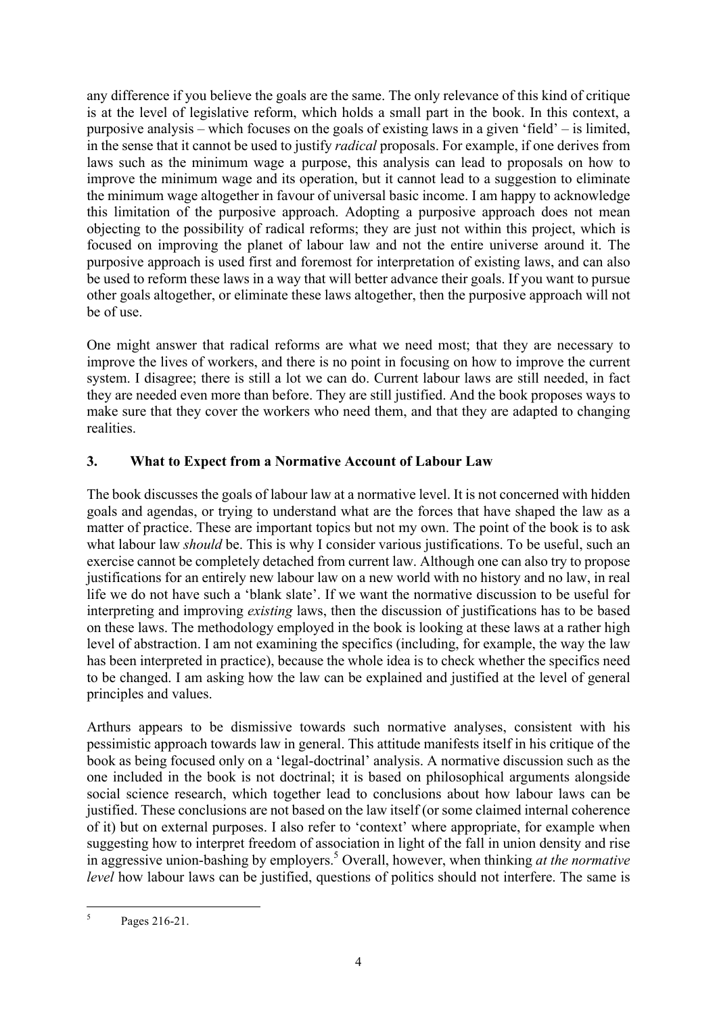any difference if you believe the goals are the same. The only relevance of this kind of critique is at the level of legislative reform, which holds a small part in the book. In this context, a purposive analysis – which focuses on the goals of existing laws in a given 'field' – is limited, in the sense that it cannot be used to justify *radical* proposals. For example, if one derives from laws such as the minimum wage a purpose, this analysis can lead to proposals on how to improve the minimum wage and its operation, but it cannot lead to a suggestion to eliminate the minimum wage altogether in favour of universal basic income. I am happy to acknowledge this limitation of the purposive approach. Adopting a purposive approach does not mean objecting to the possibility of radical reforms; they are just not within this project, which is focused on improving the planet of labour law and not the entire universe around it. The purposive approach is used first and foremost for interpretation of existing laws, and can also be used to reform these laws in a way that will better advance their goals. If you want to pursue other goals altogether, or eliminate these laws altogether, then the purposive approach will not be of use.

One might answer that radical reforms are what we need most; that they are necessary to improve the lives of workers, and there is no point in focusing on how to improve the current system. I disagree; there is still a lot we can do. Current labour laws are still needed, in fact they are needed even more than before. They are still justified. And the book proposes ways to make sure that they cover the workers who need them, and that they are adapted to changing realities.

# **3. What to Expect from a Normative Account of Labour Law**

The book discusses the goals of labour law at a normative level. It is not concerned with hidden goals and agendas, or trying to understand what are the forces that have shaped the law as a matter of practice. These are important topics but not my own. The point of the book is to ask what labour law *should* be. This is why I consider various justifications. To be useful, such an exercise cannot be completely detached from current law. Although one can also try to propose justifications for an entirely new labour law on a new world with no history and no law, in real life we do not have such a 'blank slate'. If we want the normative discussion to be useful for interpreting and improving *existing* laws, then the discussion of justifications has to be based on these laws. The methodology employed in the book is looking at these laws at a rather high level of abstraction. I am not examining the specifics (including, for example, the way the law has been interpreted in practice), because the whole idea is to check whether the specifics need to be changed. I am asking how the law can be explained and justified at the level of general principles and values.

Arthurs appears to be dismissive towards such normative analyses, consistent with his pessimistic approach towards law in general. This attitude manifests itself in his critique of the book as being focused only on a 'legal-doctrinal' analysis. A normative discussion such as the one included in the book is not doctrinal; it is based on philosophical arguments alongside social science research, which together lead to conclusions about how labour laws can be justified. These conclusions are not based on the law itself (or some claimed internal coherence of it) but on external purposes. I also refer to 'context' where appropriate, for example when suggesting how to interpret freedom of association in light of the fall in union density and rise in aggressive union-bashing by employers.<sup>5</sup> Overall, however, when thinking *at the normative level* how labour laws can be justified, questions of politics should not interfere. The same is

 $5$  Pages 216-21.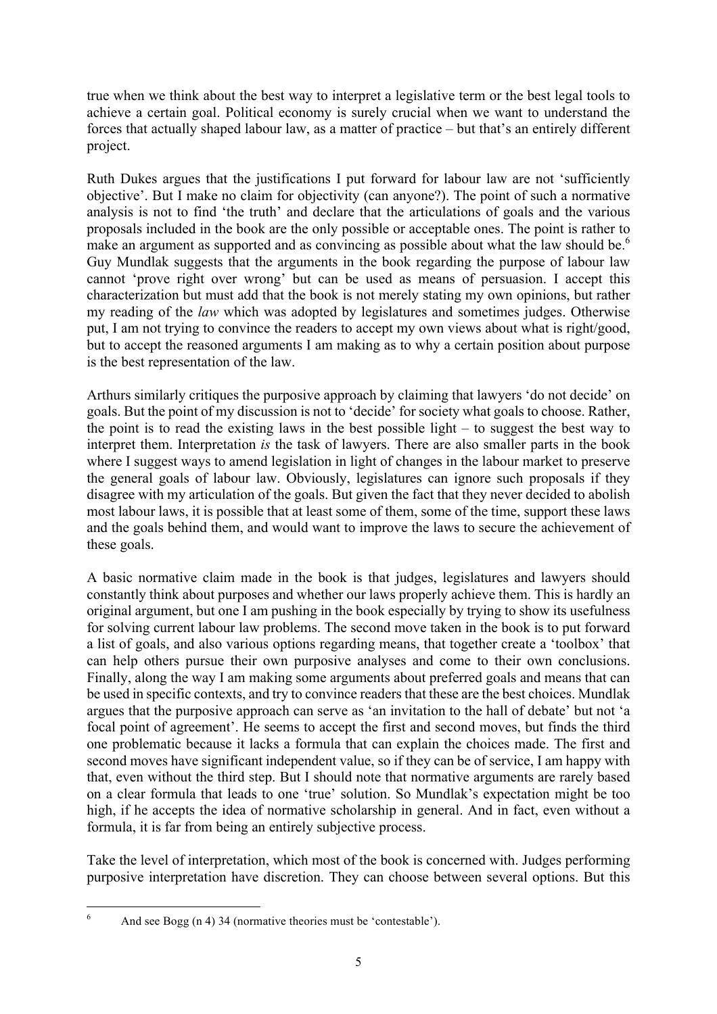true when we think about the best way to interpret a legislative term or the best legal tools to achieve a certain goal. Political economy is surely crucial when we want to understand the forces that actually shaped labour law, as a matter of practice – but that's an entirely different project.

Ruth Dukes argues that the justifications I put forward for labour law are not 'sufficiently objective'. But I make no claim for objectivity (can anyone?). The point of such a normative analysis is not to find 'the truth' and declare that the articulations of goals and the various proposals included in the book are the only possible or acceptable ones. The point is rather to make an argument as supported and as convincing as possible about what the law should be.<sup>6</sup> Guy Mundlak suggests that the arguments in the book regarding the purpose of labour law cannot 'prove right over wrong' but can be used as means of persuasion. I accept this characterization but must add that the book is not merely stating my own opinions, but rather my reading of the *law* which was adopted by legislatures and sometimes judges. Otherwise put, I am not trying to convince the readers to accept my own views about what is right/good, but to accept the reasoned arguments I am making as to why a certain position about purpose is the best representation of the law.

Arthurs similarly critiques the purposive approach by claiming that lawyers 'do not decide' on goals. But the point of my discussion is not to 'decide' for society what goals to choose. Rather, the point is to read the existing laws in the best possible light – to suggest the best way to interpret them. Interpretation *is* the task of lawyers. There are also smaller parts in the book where I suggest ways to amend legislation in light of changes in the labour market to preserve the general goals of labour law. Obviously, legislatures can ignore such proposals if they disagree with my articulation of the goals. But given the fact that they never decided to abolish most labour laws, it is possible that at least some of them, some of the time, support these laws and the goals behind them, and would want to improve the laws to secure the achievement of these goals.

A basic normative claim made in the book is that judges, legislatures and lawyers should constantly think about purposes and whether our laws properly achieve them. This is hardly an original argument, but one I am pushing in the book especially by trying to show its usefulness for solving current labour law problems. The second move taken in the book is to put forward a list of goals, and also various options regarding means, that together create a 'toolbox' that can help others pursue their own purposive analyses and come to their own conclusions. Finally, along the way I am making some arguments about preferred goals and means that can be used in specific contexts, and try to convince readers that these are the best choices. Mundlak argues that the purposive approach can serve as 'an invitation to the hall of debate' but not 'a focal point of agreement'. He seems to accept the first and second moves, but finds the third one problematic because it lacks a formula that can explain the choices made. The first and second moves have significant independent value, so if they can be of service, I am happy with that, even without the third step. But I should note that normative arguments are rarely based on a clear formula that leads to one 'true' solution. So Mundlak's expectation might be too high, if he accepts the idea of normative scholarship in general. And in fact, even without a formula, it is far from being an entirely subjective process.

Take the level of interpretation, which most of the book is concerned with. Judges performing purposive interpretation have discretion. They can choose between several options. But this

<sup>&</sup>lt;sup>6</sup> And see Bogg (n 4) 34 (normative theories must be 'contestable').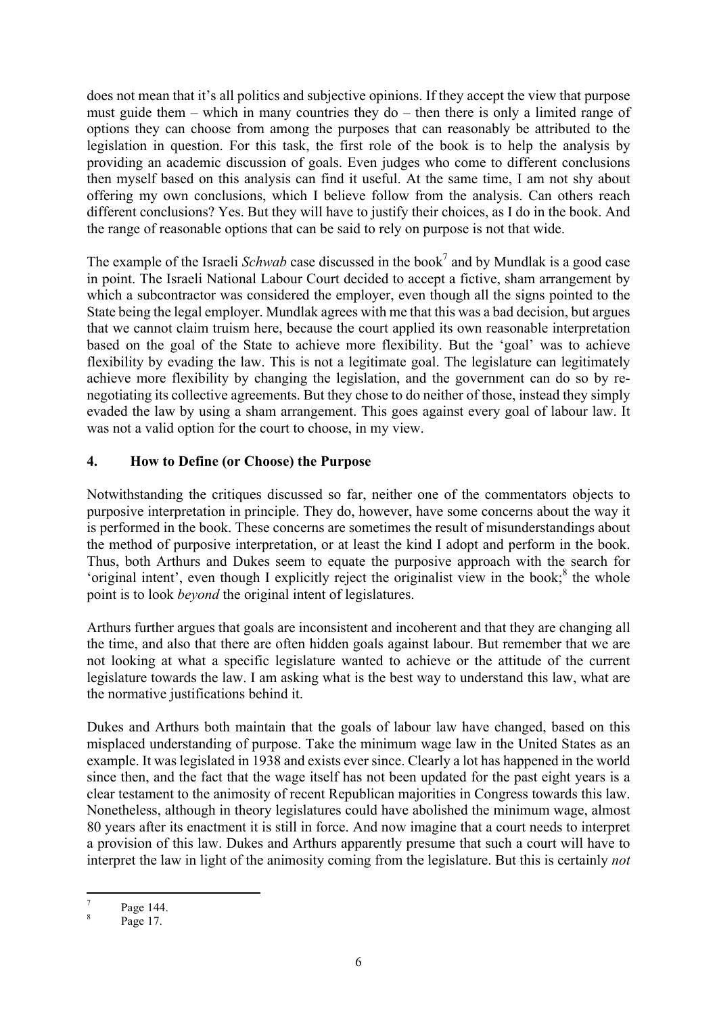does not mean that it's all politics and subjective opinions. If they accept the view that purpose must guide them – which in many countries they do – then there is only a limited range of options they can choose from among the purposes that can reasonably be attributed to the legislation in question. For this task, the first role of the book is to help the analysis by providing an academic discussion of goals. Even judges who come to different conclusions then myself based on this analysis can find it useful. At the same time, I am not shy about offering my own conclusions, which I believe follow from the analysis. Can others reach different conclusions? Yes. But they will have to justify their choices, as I do in the book. And the range of reasonable options that can be said to rely on purpose is not that wide.

The example of the Israeli *Schwab* case discussed in the book<sup>7</sup> and by Mundlak is a good case in point. The Israeli National Labour Court decided to accept a fictive, sham arrangement by which a subcontractor was considered the employer, even though all the signs pointed to the State being the legal employer. Mundlak agrees with me that this was a bad decision, but argues that we cannot claim truism here, because the court applied its own reasonable interpretation based on the goal of the State to achieve more flexibility. But the 'goal' was to achieve flexibility by evading the law. This is not a legitimate goal. The legislature can legitimately achieve more flexibility by changing the legislation, and the government can do so by renegotiating its collective agreements. But they chose to do neither of those, instead they simply evaded the law by using a sham arrangement. This goes against every goal of labour law. It was not a valid option for the court to choose, in my view.

## **4. How to Define (or Choose) the Purpose**

Notwithstanding the critiques discussed so far, neither one of the commentators objects to purposive interpretation in principle. They do, however, have some concerns about the way it is performed in the book. These concerns are sometimes the result of misunderstandings about the method of purposive interpretation, or at least the kind I adopt and perform in the book. Thus, both Arthurs and Dukes seem to equate the purposive approach with the search for 'original intent', even though I explicitly reject the originalist view in the book;  $8$  the whole point is to look *beyond* the original intent of legislatures.

Arthurs further argues that goals are inconsistent and incoherent and that they are changing all the time, and also that there are often hidden goals against labour. But remember that we are not looking at what a specific legislature wanted to achieve or the attitude of the current legislature towards the law. I am asking what is the best way to understand this law, what are the normative justifications behind it.

Dukes and Arthurs both maintain that the goals of labour law have changed, based on this misplaced understanding of purpose. Take the minimum wage law in the United States as an example. It was legislated in 1938 and exists ever since. Clearly a lot has happened in the world since then, and the fact that the wage itself has not been updated for the past eight years is a clear testament to the animosity of recent Republican majorities in Congress towards this law. Nonetheless, although in theory legislatures could have abolished the minimum wage, almost 80 years after its enactment it is still in force. And now imagine that a court needs to interpret a provision of this law. Dukes and Arthurs apparently presume that such a court will have to interpret the law in light of the animosity coming from the legislature. But this is certainly *not*

 

 $\frac{7}{8}$  Page 144.<br>Page 17.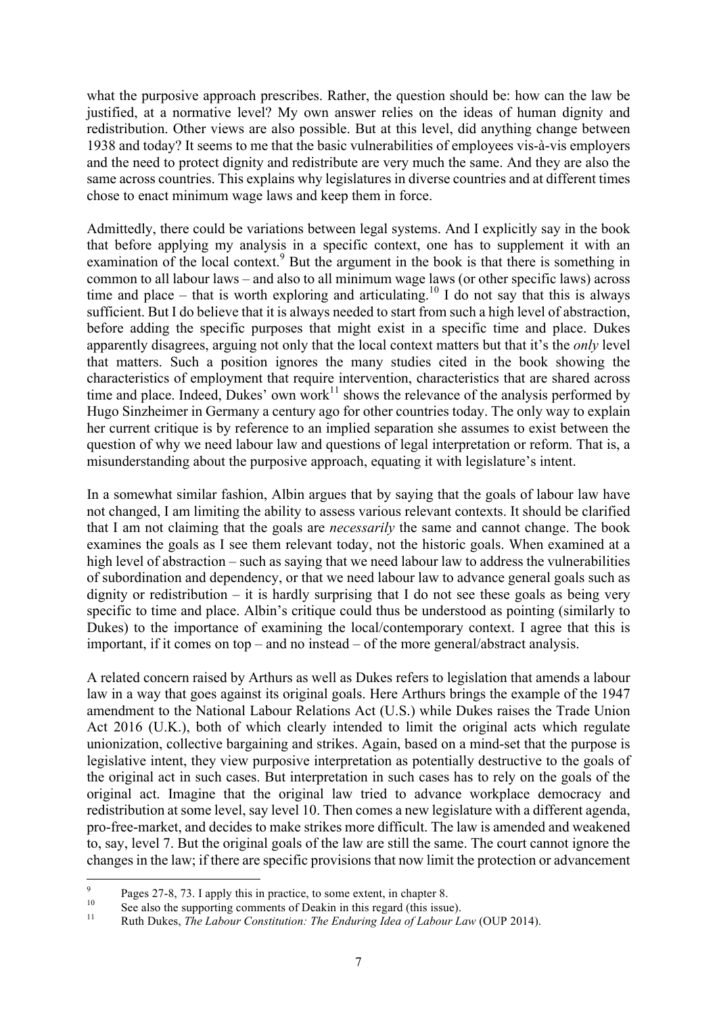what the purposive approach prescribes. Rather, the question should be: how can the law be justified, at a normative level? My own answer relies on the ideas of human dignity and redistribution. Other views are also possible. But at this level, did anything change between 1938 and today? It seems to me that the basic vulnerabilities of employees vis-à-vis employers and the need to protect dignity and redistribute are very much the same. And they are also the same across countries. This explains why legislatures in diverse countries and at different times chose to enact minimum wage laws and keep them in force.

Admittedly, there could be variations between legal systems. And I explicitly say in the book that before applying my analysis in a specific context, one has to supplement it with an examination of the local context.<sup>9</sup> But the argument in the book is that there is something in common to all labour laws – and also to all minimum wage laws (or other specific laws) across time and place – that is worth exploring and articulating.<sup>10</sup> I do not say that this is always sufficient. But I do believe that it is always needed to start from such a high level of abstraction, before adding the specific purposes that might exist in a specific time and place. Dukes apparently disagrees, arguing not only that the local context matters but that it's the *only* level that matters. Such a position ignores the many studies cited in the book showing the characteristics of employment that require intervention, characteristics that are shared across time and place. Indeed, Dukes' own work $11$  shows the relevance of the analysis performed by Hugo Sinzheimer in Germany a century ago for other countries today. The only way to explain her current critique is by reference to an implied separation she assumes to exist between the question of why we need labour law and questions of legal interpretation or reform. That is, a misunderstanding about the purposive approach, equating it with legislature's intent.

In a somewhat similar fashion, Albin argues that by saying that the goals of labour law have not changed, I am limiting the ability to assess various relevant contexts. It should be clarified that I am not claiming that the goals are *necessarily* the same and cannot change. The book examines the goals as I see them relevant today, not the historic goals. When examined at a high level of abstraction – such as saying that we need labour law to address the vulnerabilities of subordination and dependency, or that we need labour law to advance general goals such as dignity or redistribution – it is hardly surprising that I do not see these goals as being very specific to time and place. Albin's critique could thus be understood as pointing (similarly to Dukes) to the importance of examining the local/contemporary context. I agree that this is important, if it comes on top – and no instead – of the more general/abstract analysis.

A related concern raised by Arthurs as well as Dukes refers to legislation that amends a labour law in a way that goes against its original goals. Here Arthurs brings the example of the 1947 amendment to the National Labour Relations Act (U.S.) while Dukes raises the Trade Union Act 2016 (U.K.), both of which clearly intended to limit the original acts which regulate unionization, collective bargaining and strikes. Again, based on a mind-set that the purpose is legislative intent, they view purposive interpretation as potentially destructive to the goals of the original act in such cases. But interpretation in such cases has to rely on the goals of the original act. Imagine that the original law tried to advance workplace democracy and redistribution at some level, say level 10. Then comes a new legislature with a different agenda, pro-free-market, and decides to make strikes more difficult. The law is amended and weakened to, say, level 7. But the original goals of the law are still the same. The court cannot ignore the changes in the law; if there are specific provisions that now limit the protection or advancement

Pages 27-8, 73. I apply this in practice, to some extent, in chapter 8.<br>See also the supporting comments of Deakin in this regard (this issue).<br>Ruth Dukes, *The Labour Constitution: The Enduring Idea of Labour Law* (OUP 2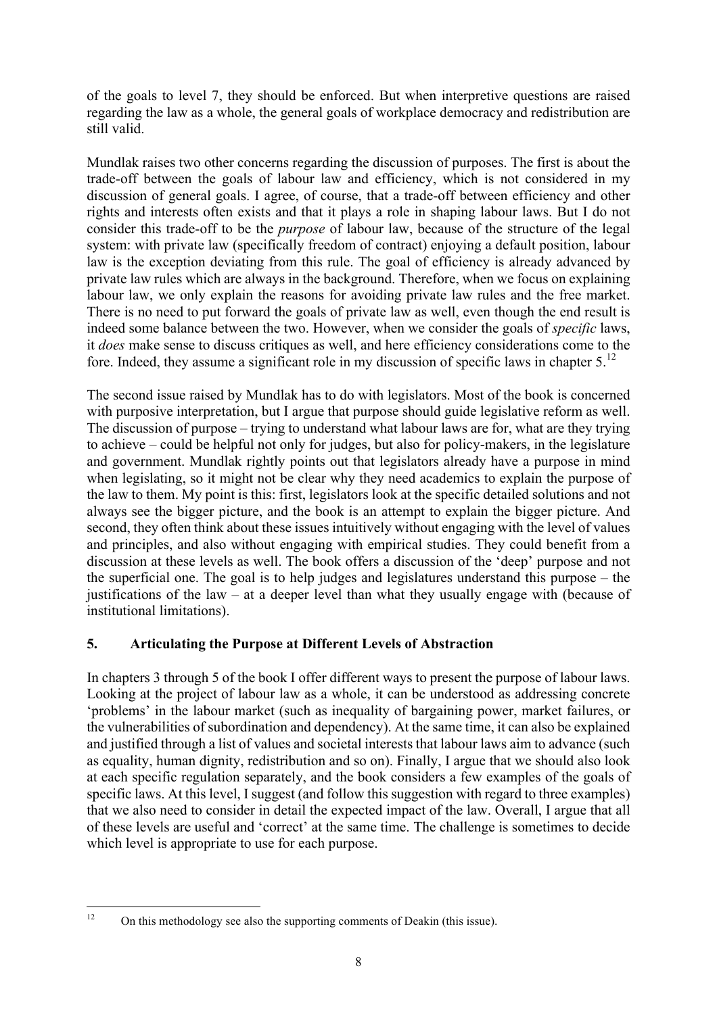of the goals to level 7, they should be enforced. But when interpretive questions are raised regarding the law as a whole, the general goals of workplace democracy and redistribution are still valid.

Mundlak raises two other concerns regarding the discussion of purposes. The first is about the trade-off between the goals of labour law and efficiency, which is not considered in my discussion of general goals. I agree, of course, that a trade-off between efficiency and other rights and interests often exists and that it plays a role in shaping labour laws. But I do not consider this trade-off to be the *purpose* of labour law, because of the structure of the legal system: with private law (specifically freedom of contract) enjoying a default position, labour law is the exception deviating from this rule. The goal of efficiency is already advanced by private law rules which are always in the background. Therefore, when we focus on explaining labour law, we only explain the reasons for avoiding private law rules and the free market. There is no need to put forward the goals of private law as well, even though the end result is indeed some balance between the two. However, when we consider the goals of *specific* laws, it *does* make sense to discuss critiques as well, and here efficiency considerations come to the fore. Indeed, they assume a significant role in my discussion of specific laws in chapter  $5$ .<sup>12</sup>

The second issue raised by Mundlak has to do with legislators. Most of the book is concerned with purposive interpretation, but I argue that purpose should guide legislative reform as well. The discussion of purpose – trying to understand what labour laws are for, what are they trying to achieve – could be helpful not only for judges, but also for policy-makers, in the legislature and government. Mundlak rightly points out that legislators already have a purpose in mind when legislating, so it might not be clear why they need academics to explain the purpose of the law to them. My point is this: first, legislators look at the specific detailed solutions and not always see the bigger picture, and the book is an attempt to explain the bigger picture. And second, they often think about these issues intuitively without engaging with the level of values and principles, and also without engaging with empirical studies. They could benefit from a discussion at these levels as well. The book offers a discussion of the 'deep' purpose and not the superficial one. The goal is to help judges and legislatures understand this purpose – the justifications of the law – at a deeper level than what they usually engage with (because of institutional limitations).

# **5. Articulating the Purpose at Different Levels of Abstraction**

In chapters 3 through 5 of the book I offer different ways to present the purpose of labour laws. Looking at the project of labour law as a whole, it can be understood as addressing concrete 'problems' in the labour market (such as inequality of bargaining power, market failures, or the vulnerabilities of subordination and dependency). At the same time, it can also be explained and justified through a list of values and societal interests that labour laws aim to advance (such as equality, human dignity, redistribution and so on). Finally, I argue that we should also look at each specific regulation separately, and the book considers a few examples of the goals of specific laws. At this level, I suggest (and follow this suggestion with regard to three examples) that we also need to consider in detail the expected impact of the law. Overall, I argue that all of these levels are useful and 'correct' at the same time. The challenge is sometimes to decide which level is appropriate to use for each purpose.

<sup>&</sup>lt;sup>12</sup> On this methodology see also the supporting comments of Deakin (this issue).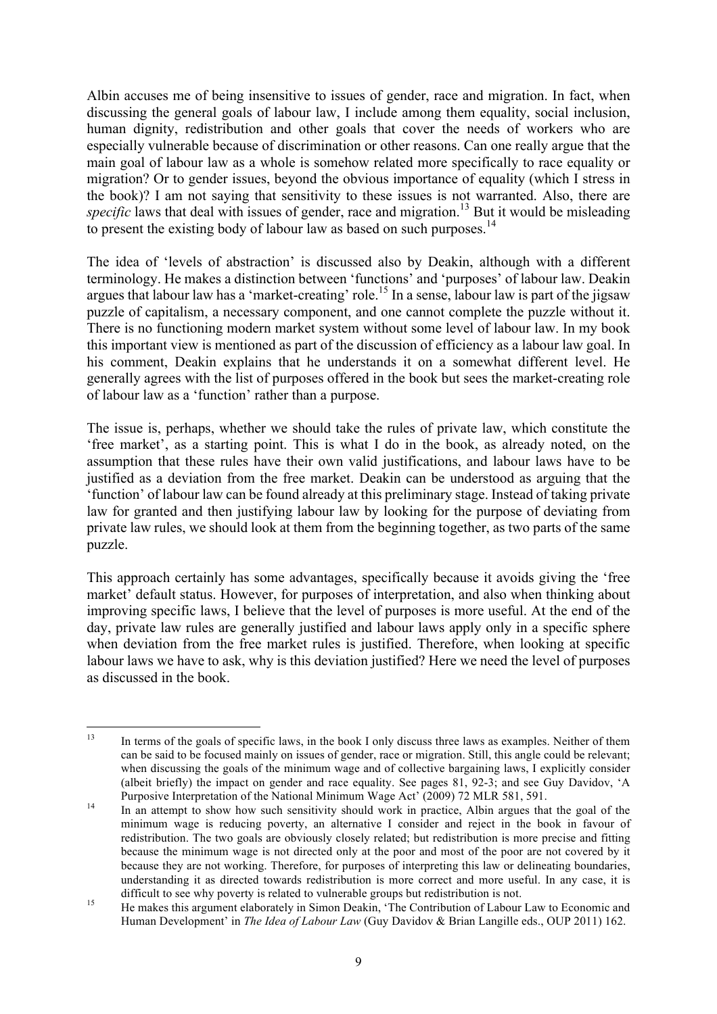Albin accuses me of being insensitive to issues of gender, race and migration. In fact, when discussing the general goals of labour law, I include among them equality, social inclusion, human dignity, redistribution and other goals that cover the needs of workers who are especially vulnerable because of discrimination or other reasons. Can one really argue that the main goal of labour law as a whole is somehow related more specifically to race equality or migration? Or to gender issues, beyond the obvious importance of equality (which I stress in the book)? I am not saying that sensitivity to these issues is not warranted. Also, there are *specific* laws that deal with issues of gender, race and migration.<sup>13</sup> But it would be misleading to present the existing body of labour law as based on such purposes.<sup>14</sup>

The idea of 'levels of abstraction' is discussed also by Deakin, although with a different terminology. He makes a distinction between 'functions' and 'purposes' of labour law. Deakin argues that labour law has a 'market-creating' role. <sup>15</sup> In a sense, labour law is part of the jigsaw puzzle of capitalism, a necessary component, and one cannot complete the puzzle without it. There is no functioning modern market system without some level of labour law. In my book this important view is mentioned as part of the discussion of efficiency as a labour law goal. In his comment, Deakin explains that he understands it on a somewhat different level. He generally agrees with the list of purposes offered in the book but sees the market-creating role of labour law as a 'function' rather than a purpose.

The issue is, perhaps, whether we should take the rules of private law, which constitute the 'free market', as a starting point. This is what I do in the book, as already noted, on the assumption that these rules have their own valid justifications, and labour laws have to be justified as a deviation from the free market. Deakin can be understood as arguing that the 'function' of labour law can be found already at this preliminary stage. Instead of taking private law for granted and then justifying labour law by looking for the purpose of deviating from private law rules, we should look at them from the beginning together, as two parts of the same puzzle.

This approach certainly has some advantages, specifically because it avoids giving the 'free market' default status. However, for purposes of interpretation, and also when thinking about improving specific laws, I believe that the level of purposes is more useful. At the end of the day, private law rules are generally justified and labour laws apply only in a specific sphere when deviation from the free market rules is justified. Therefore, when looking at specific labour laws we have to ask, why is this deviation justified? Here we need the level of purposes as discussed in the book.

<sup>&</sup>lt;sup>13</sup> In terms of the goals of specific laws, in the book I only discuss three laws as examples. Neither of them can be said to be focused mainly on issues of gender, race or migration. Still, this angle could be relevant; when discussing the goals of the minimum wage and of collective bargaining laws, I explicitly consider (albeit briefly) the impact on gender and race equality. See pages 81, 92-3; and see Guy Davidov, 'A

Purposive Interpretation of the National Minimum Wage Act' (2009) 72 MLR 581, 591.<br>In an attempt to show how such sensitivity should work in practice, Albin argues that the goal of the minimum wage is reducing poverty, an alternative I consider and reject in the book in favour of redistribution. The two goals are obviously closely related; but redistribution is more precise and fitting because the minimum wage is not directed only at the poor and most of the poor are not covered by it because they are not working. Therefore, for purposes of interpreting this law or delineating boundaries, understanding it as directed towards redistribution is more correct and more useful. In any case, it is

difficult to see why poverty is related to vulnerable groups but redistribution is not.<br>He makes this argument elaborately in Simon Deakin, 'The Contribution of Labour Law to Economic and Human Development' in *The Idea of Labour Law* (Guy Davidov & Brian Langille eds., OUP 2011) 162.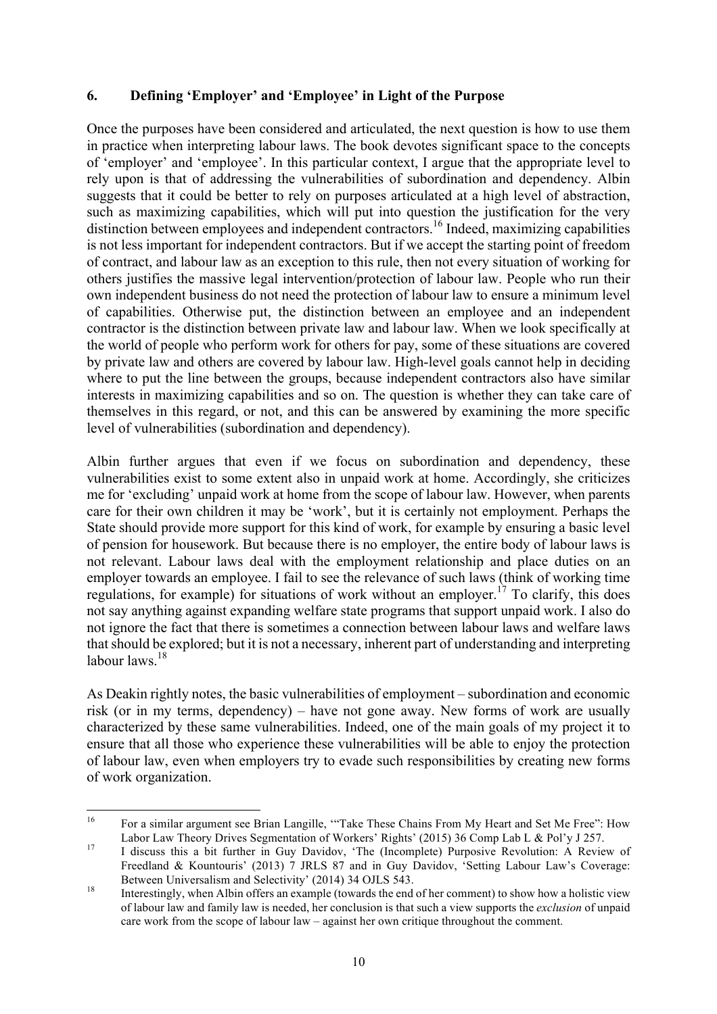## **6. Defining 'Employer' and 'Employee' in Light of the Purpose**

Once the purposes have been considered and articulated, the next question is how to use them in practice when interpreting labour laws. The book devotes significant space to the concepts of 'employer' and 'employee'. In this particular context, I argue that the appropriate level to rely upon is that of addressing the vulnerabilities of subordination and dependency. Albin suggests that it could be better to rely on purposes articulated at a high level of abstraction, such as maximizing capabilities, which will put into question the justification for the very distinction between employees and independent contractors.<sup>16</sup> Indeed, maximizing capabilities is not less important for independent contractors. But if we accept the starting point of freedom of contract, and labour law as an exception to this rule, then not every situation of working for others justifies the massive legal intervention/protection of labour law. People who run their own independent business do not need the protection of labour law to ensure a minimum level of capabilities. Otherwise put, the distinction between an employee and an independent contractor is the distinction between private law and labour law. When we look specifically at the world of people who perform work for others for pay, some of these situations are covered by private law and others are covered by labour law. High-level goals cannot help in deciding where to put the line between the groups, because independent contractors also have similar interests in maximizing capabilities and so on. The question is whether they can take care of themselves in this regard, or not, and this can be answered by examining the more specific level of vulnerabilities (subordination and dependency).

Albin further argues that even if we focus on subordination and dependency, these vulnerabilities exist to some extent also in unpaid work at home. Accordingly, she criticizes me for 'excluding' unpaid work at home from the scope of labour law. However, when parents care for their own children it may be 'work', but it is certainly not employment. Perhaps the State should provide more support for this kind of work, for example by ensuring a basic level of pension for housework. But because there is no employer, the entire body of labour laws is not relevant. Labour laws deal with the employment relationship and place duties on an employer towards an employee. I fail to see the relevance of such laws (think of working time regulations, for example) for situations of work without an employer.<sup>17</sup> To clarify, this does not say anything against expanding welfare state programs that support unpaid work. I also do not ignore the fact that there is sometimes a connection between labour laws and welfare laws that should be explored; but it is not a necessary, inherent part of understanding and interpreting labour laws.<sup>18</sup>

As Deakin rightly notes, the basic vulnerabilities of employment – subordination and economic risk (or in my terms, dependency) – have not gone away. New forms of work are usually characterized by these same vulnerabilities. Indeed, one of the main goals of my project it to ensure that all those who experience these vulnerabilities will be able to enjoy the protection of labour law, even when employers try to evade such responsibilities by creating new forms of work organization.

<sup>&</sup>lt;sup>16</sup> For a similar argument see Brian Langille, "Take These Chains From My Heart and Set Me Free": How<br>Labor Law Theory Drives Segmentation of Workers' Rights' (2015) 36 Comp Lab L & Pol'y J 257.

Labor Law Theory Drives Segmentation of Workers' Rights' (2015) 36 Comp Lab L & Pol'y J 257. <sup>17</sup> I discuss this a bit further in Guy Davidov, 'The (Incomplete) Purposive Revolution: A Review of Freedland & Kountouris' (2013) 7 JRLS 87 and in Guy Davidov, 'Setting Labour Law's Coverage:

Between Universalism and Selectivity' (2014) 34 OJLS 543.<br><sup>18</sup> Interestingly, when Albin offers an example (towards the end of her comment) to show how a holistic view of labour law and family law is needed, her conclusion is that such a view supports the *exclusion* of unpaid care work from the scope of labour law – against her own critique throughout the comment.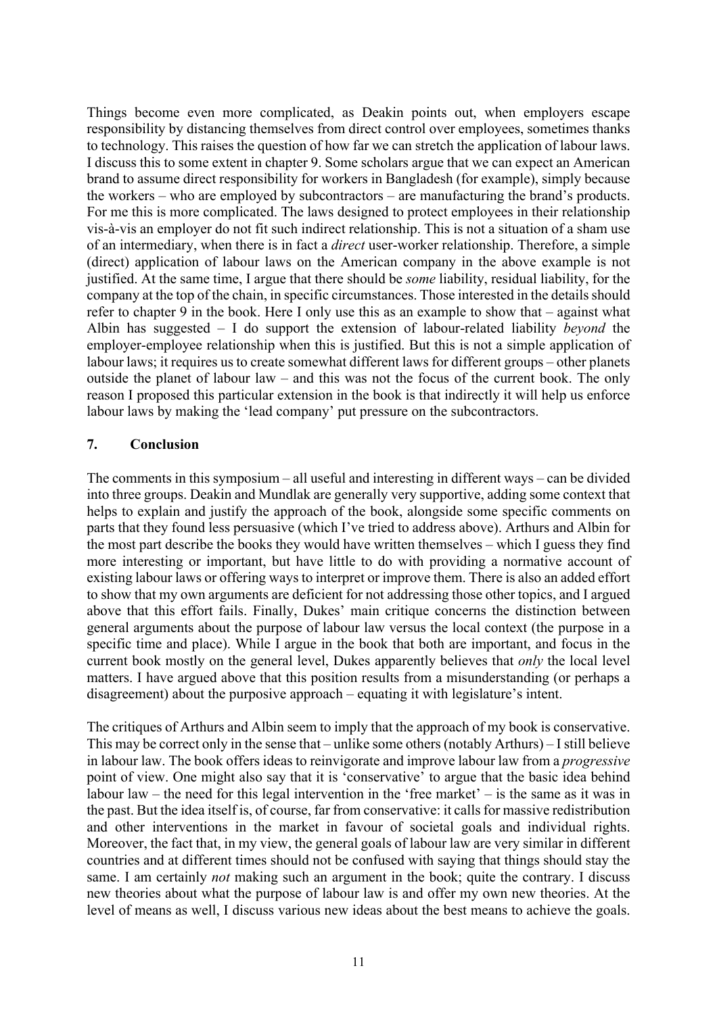Things become even more complicated, as Deakin points out, when employers escape responsibility by distancing themselves from direct control over employees, sometimes thanks to technology. This raises the question of how far we can stretch the application of labour laws. I discuss this to some extent in chapter 9. Some scholars argue that we can expect an American brand to assume direct responsibility for workers in Bangladesh (for example), simply because the workers – who are employed by subcontractors – are manufacturing the brand's products. For me this is more complicated. The laws designed to protect employees in their relationship vis-à-vis an employer do not fit such indirect relationship. This is not a situation of a sham use of an intermediary, when there is in fact a *direct* user-worker relationship. Therefore, a simple (direct) application of labour laws on the American company in the above example is not justified. At the same time, I argue that there should be *some* liability, residual liability, for the company at the top of the chain, in specific circumstances. Those interested in the details should refer to chapter 9 in the book. Here I only use this as an example to show that – against what Albin has suggested – I do support the extension of labour-related liability *beyond* the employer-employee relationship when this is justified. But this is not a simple application of labour laws; it requires us to create somewhat different laws for different groups – other planets outside the planet of labour law – and this was not the focus of the current book. The only reason I proposed this particular extension in the book is that indirectly it will help us enforce labour laws by making the 'lead company' put pressure on the subcontractors.

### **7. Conclusion**

The comments in this symposium – all useful and interesting in different ways – can be divided into three groups. Deakin and Mundlak are generally very supportive, adding some context that helps to explain and justify the approach of the book, alongside some specific comments on parts that they found less persuasive (which I've tried to address above). Arthurs and Albin for the most part describe the books they would have written themselves – which I guess they find more interesting or important, but have little to do with providing a normative account of existing labour laws or offering ways to interpret or improve them. There is also an added effort to show that my own arguments are deficient for not addressing those other topics, and I argued above that this effort fails. Finally, Dukes' main critique concerns the distinction between general arguments about the purpose of labour law versus the local context (the purpose in a specific time and place). While I argue in the book that both are important, and focus in the current book mostly on the general level, Dukes apparently believes that *only* the local level matters. I have argued above that this position results from a misunderstanding (or perhaps a disagreement) about the purposive approach – equating it with legislature's intent.

The critiques of Arthurs and Albin seem to imply that the approach of my book is conservative. This may be correct only in the sense that – unlike some others (notably Arthurs) – I still believe in labour law. The book offers ideas to reinvigorate and improve labour law from a *progressive* point of view. One might also say that it is 'conservative' to argue that the basic idea behind labour law – the need for this legal intervention in the 'free market' – is the same as it was in the past. But the idea itself is, of course, far from conservative: it calls for massive redistribution and other interventions in the market in favour of societal goals and individual rights. Moreover, the fact that, in my view, the general goals of labour law are very similar in different countries and at different times should not be confused with saying that things should stay the same. I am certainly *not* making such an argument in the book; quite the contrary. I discuss new theories about what the purpose of labour law is and offer my own new theories. At the level of means as well, I discuss various new ideas about the best means to achieve the goals.